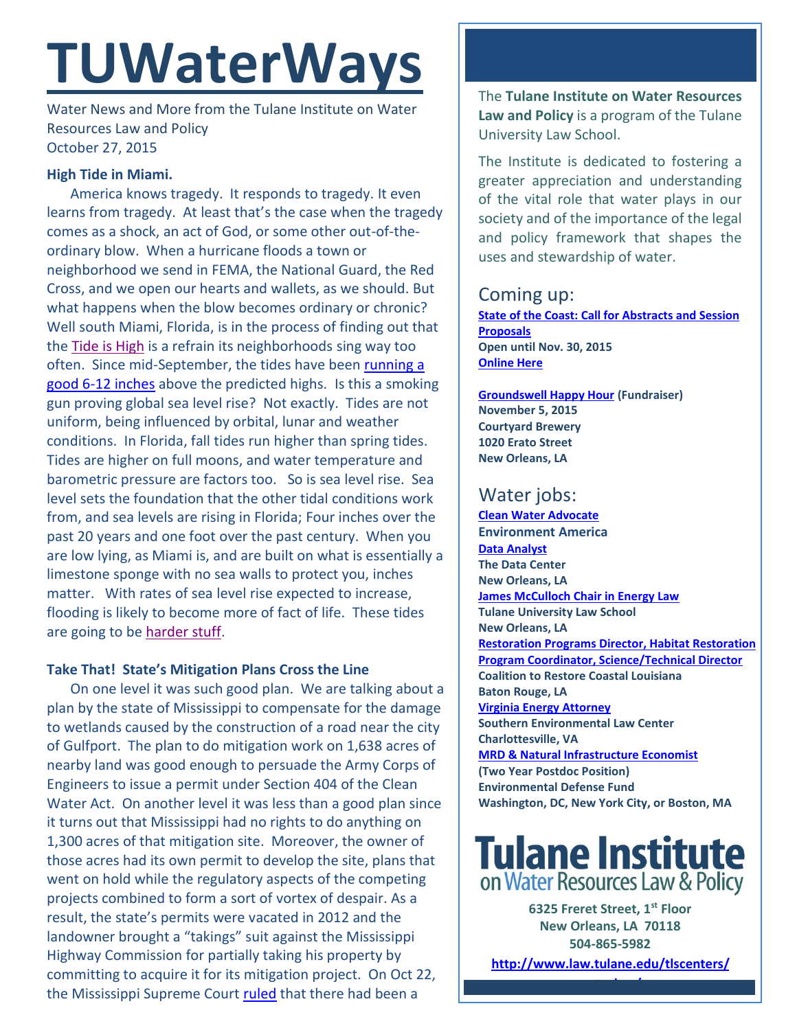# **TUWaterWays**

Water News and More from the Tulane Institute on Water Resources Law and Policy October 27, 2015

### **High Tide in Miami.**

America knows tragedy. It responds to tragedy. It even learns from tragedy. At least that's the case when the tragedy comes as a shock, an act of God, or some other out-of-theordinary blow. When a hurricane floods a town or neighborhood we send in FEMA, the National Guard, the Red Cross, and we open our hearts and wallets, as we should. But what happens when the blow becomes ordinary or chronic? Well south Miami, Florida, is in the process of finding out that the [Tide is High](https://www.youtube.com/watch?v=t3pPttrFB-E) is a refrain its neighborhoods sing way too often. Since mid-September, the tides have been [running a](https://www.washingtonpost.com/news/capital-weather-gang/wp/2015/10/20/during-autumn-king-tides-nuisance-flooding-becomes-chronic-flooding-in-miami-area/)  [good 6-12 inches](https://www.washingtonpost.com/news/capital-weather-gang/wp/2015/10/20/during-autumn-king-tides-nuisance-flooding-becomes-chronic-flooding-in-miami-area/) above the predicted highs. Is this a smoking gun proving global sea level rise? Not exactly. Tides are not uniform, being influenced by orbital, lunar and weather conditions. In Florida, fall tides run higher than spring tides. Tides are higher on full moons, and water temperature and barometric pressure are factors too. So is sea level rise. Sea level sets the foundation that the other tidal conditions work from, and sea levels are rising in Florida; Four inches over the past 20 years and one foot over the past century. When you are low lying, as Miami is, and are built on what is essentially a limestone sponge with no sea walls to protect you, inches matter. With rates of sea level rise expected to increase, flooding is likely to become more of fact of life. These tides are going to be [harder stuff.](https://www.youtube.com/watch?v=oYaCyDRurmI)

### **Take That! State's Mitigation Plans Cross the Line**

On one level it was such good plan. We are talking about a plan by the state of Mississippi to compensate for the damage to wetlands caused by the construction of a road near the city of Gulfport. The plan to do mitigation work on 1,638 acres of nearby land was good enough to persuade the Army Corps of Engineers to issue a permit under Section 404 of the Clean Water Act. On another level it was less than a good plan since it turns out that Mississippi had no rights to do anything on 1,300 acres of that mitigation site. Moreover, the owner of those acres had its own permit to develop the site, plans that went on hold while the regulatory aspects of the competing projects combined to form a sort of vortex of despair. As a result, the state's permits were vacated in 2012 and the landowner brought a "takings" suit against the Mississippi Highway Commission for partially taking his property by committing to acquire it for its mitigation project. On Oct 22, the Mississippi Supreme Court [ruled](http://www2.bloomberglaw.com/public/desktop/document/WARD_GULFPORT_PROPERTIES_LP_AND_T_JERARD_GULFPORT_LLC_v_MISSISSIP) that there had been a

The **Tulane Institute on Water Resources Law and Policy** is a program of the Tulane University Law School.

The Institute is dedicated to fostering a greater appreciation and understanding of the vital role that water plays in our society and of the importance of the legal and policy framework that shapes the uses and stewardship of water.

### Coming up:

**[State](https://www.google.com/maps/place/Belle+Chasse+Auditorium/@29.853709,-89.9861428,15z/data=!4m2!3m1!1s0x0:0x23d3a90cbaa61491) of the Coast: Call for Abstracts and Session Proposals Open until Nov. 30, 2015 [Online Here](http://stateofthecoast.org/general-information/general-information.html)**

**[Groundswell Happy Hour](http://www.eventbrite.com/e/restore-the-earth-happy-hour-groundswell-nola-tickets-18716752310) (Fundraiser) November 5, 2015 Courtyard Brewery 1020 Erato Street New Orleans, LA** 

## Water jobs:

**[Clean Water Advocate](http://jobs.environmentamerica.org/clean-water-advocate.html) Environment America [Data Analyst](http://www.datacenterresearch.org/about-us/jobs/) The Data Center New Orleans, LA [James McCulloch Chair in Energy Law](https://www.eli.org/sites/default/files/tulane.pdf) Tulane University Law School New Orleans, LA [Restoration Programs Director, Habitat Restoration](http://crcl.org/about-us/employment-opportunities-menu.html)  [Program Coordinator, Science/Technical Director](http://crcl.org/about-us/employment-opportunities-menu.html) Coalition to Restore Coastal Louisiana Baton Rouge, LA [Virginia Energy Attorney](http://50.87.248.195/~vcnvaorg/?p=346) Southern Environmental Law Center Charlottesville, VA [MRD & Natural Infrastructure Economist](https://www.edf.org/jobs/mississippi-river-delta-and-natural-infrastructure-economist-2-year-post-doctoral-position) (Two Year Postdoc Position) Environmental Defense Fund Washington, DC, New York City, or Boston, MA**

# **Tulane Institute** on Water Resources Law & Policy

**6325 Freret Street, 1st Floor New Orleans, LA 70118 504-865-5982** 

**[http://www.law.tulane.edu/tlscenters/](http://www.law.tulane.edu/tlscenters/waterlaw/) [waterlaw/](http://www.law.tulane.edu/tlscenters/waterlaw/)**

**TWITTER: [@TulaneWaterLaw](http://www.twitter.com/TulaneWaterLaw)**